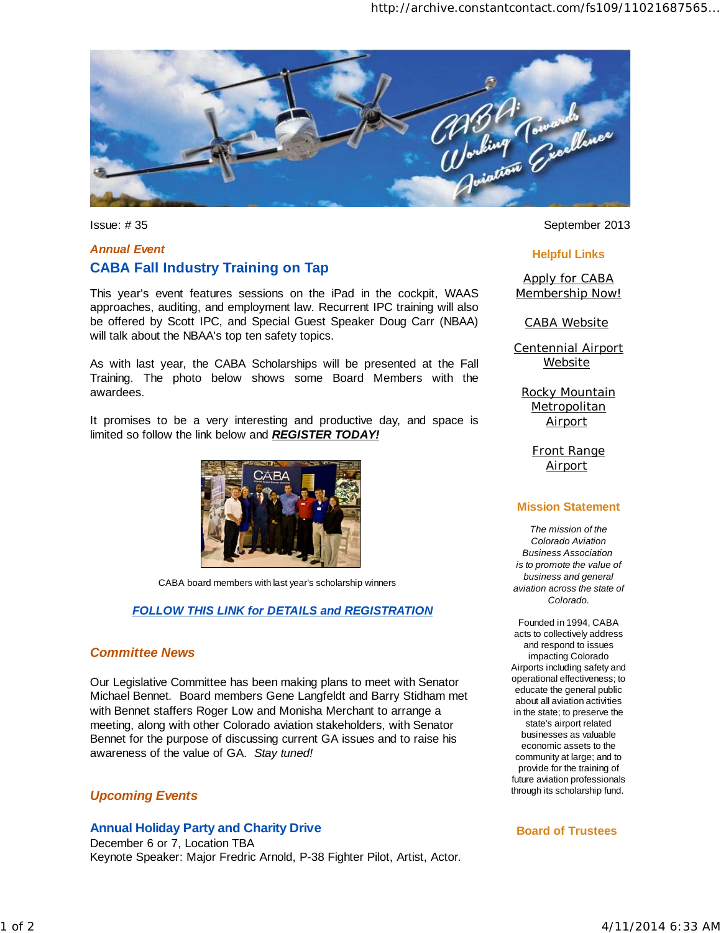

# *Annual Event*  **CABA Fall Industry Training on Tap**

This year's event features sessions on the iPad in the cockpit, WAAS approaches, auditing, and employment law. Recurrent IPC training will also be offered by Scott IPC, and Special Guest Speaker Doug Carr (NBAA) will talk about the NBAA's top ten safety topics.

As with last year, the CABA Scholarships will be presented at the Fall Training. The photo below shows some Board Members with the awardees.

It promises to be a very interesting and productive day, and space is limited so follow the link below and *REGISTER TODAY!*



CABA board members with last year's scholarship winners

### *FOLLOW THIS LINK for DETAILS and REGISTRATION*

### *Committee News*

Our Legislative Committee has been making plans to meet with Senator Michael Bennet*.* Board members Gene Langfeldt and Barry Stidham met with Bennet staffers Roger Low and Monisha Merchant to arrange a meeting, along with other Colorado aviation stakeholders, with Senator Bennet for the purpose of discussing current GA issues and to raise his awareness of the value of GA. *Stay tuned!*

## *Upcoming Events*

#### **Annual Holiday Party and Charity Drive**

December 6 or 7, Location TBA Keynote Speaker: Major Fredric Arnold, P-38 Fighter Pilot, Artist, Actor.

Issue: #35 September 2013

#### **Helpful Links**

Apply for CABA Membership Now!

CABA Website

Centennial Airport **Website** 

Rocky Mountain **Metropolitan Airport** 

> Front Range **Airport**

#### **Mission Statement**

*The mission of the Colorado Aviation Business Association is to promote the value of business and general aviation across the state of Colorado.*

Founded in 1994, CABA acts to collectively address and respond to issues impacting Colorado Airports including safety and operational effectiveness; to educate the general public about all aviation activities in the state; to preserve the state's airport related businesses as valuable economic assets to the community at large; and to provide for the training of future aviation professionals through its scholarship fund.

#### **Board of Trustees**